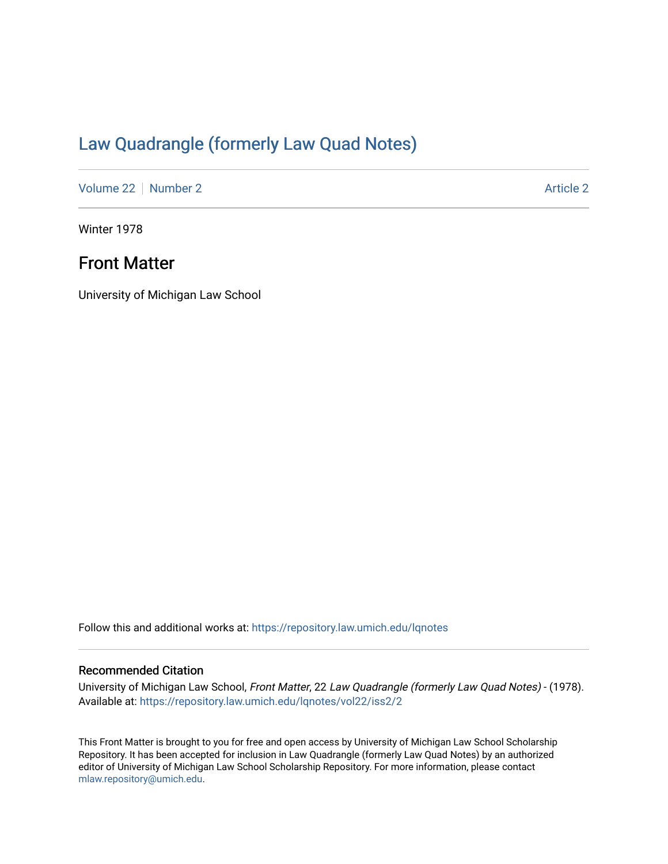# [Law Quadrangle \(formerly Law Quad Notes\)](https://repository.law.umich.edu/lqnotes)

[Volume 22](https://repository.law.umich.edu/lqnotes/vol22) [Number 2](https://repository.law.umich.edu/lqnotes/vol22/iss2) [Article 2](https://repository.law.umich.edu/lqnotes/vol22/iss2/2) Article 2 Article 2 Article 2 Article 2 Article 2 Article 2

Winter 1978

## Front Matter

University of Michigan Law School

Follow this and additional works at: [https://repository.law.umich.edu/lqnotes](https://repository.law.umich.edu/lqnotes?utm_source=repository.law.umich.edu%2Flqnotes%2Fvol22%2Fiss2%2F2&utm_medium=PDF&utm_campaign=PDFCoverPages) 

## Recommended Citation

University of Michigan Law School, Front Matter, 22 Law Quadrangle (formerly Law Quad Notes) - (1978). Available at: [https://repository.law.umich.edu/lqnotes/vol22/iss2/2](https://repository.law.umich.edu/lqnotes/vol22/iss2/2?utm_source=repository.law.umich.edu%2Flqnotes%2Fvol22%2Fiss2%2F2&utm_medium=PDF&utm_campaign=PDFCoverPages) 

This Front Matter is brought to you for free and open access by University of Michigan Law School Scholarship Repository. It has been accepted for inclusion in Law Quadrangle (formerly Law Quad Notes) by an authorized editor of University of Michigan Law School Scholarship Repository. For more information, please contact [mlaw.repository@umich.edu.](mailto:mlaw.repository@umich.edu)